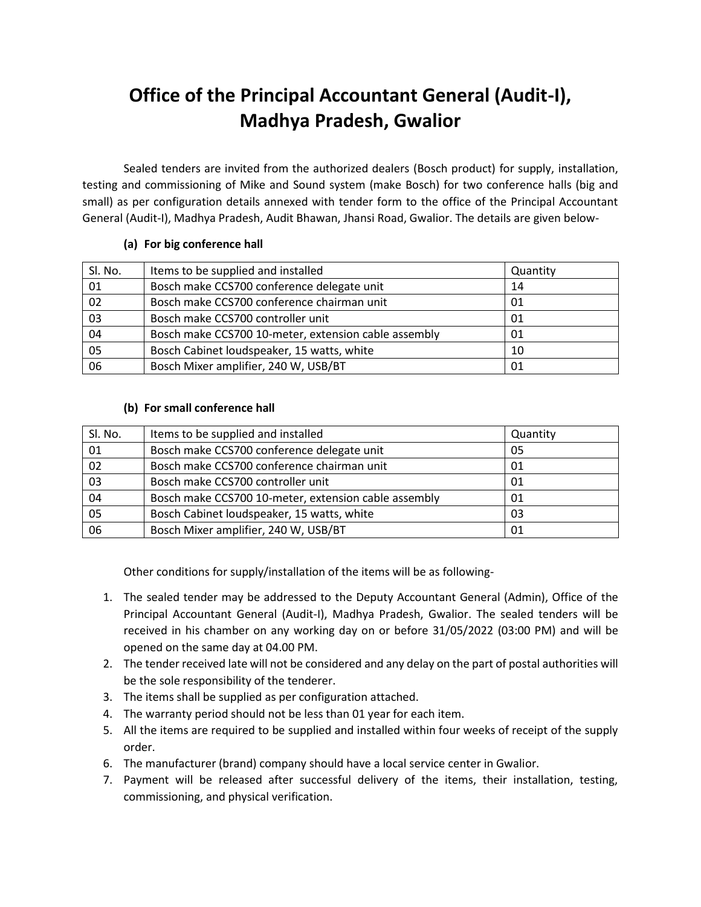# **Office of the Principal Accountant General (Audit-I), Madhya Pradesh, Gwalior**

Sealed tenders are invited from the authorized dealers (Bosch product) for supply, installation, testing and commissioning of Mike and Sound system (make Bosch) for two conference halls (big and small) as per configuration details annexed with tender form to the office of the Principal Accountant General (Audit-I), Madhya Pradesh, Audit Bhawan, Jhansi Road, Gwalior. The details are given below-

### **(a) For big conference hall**

| Sl. No. | Items to be supplied and installed                   | Quantity |
|---------|------------------------------------------------------|----------|
| 01      | Bosch make CCS700 conference delegate unit           | 14       |
| 02      | Bosch make CCS700 conference chairman unit           | 01       |
| 03      | Bosch make CCS700 controller unit                    | 01       |
| 04      | Bosch make CCS700 10-meter, extension cable assembly | 01       |
| 05      | Bosch Cabinet loudspeaker, 15 watts, white           | 10       |
| 06      | Bosch Mixer amplifier, 240 W, USB/BT                 | 01       |

#### **(b) For small conference hall**

| SI. No.         | Items to be supplied and installed                   | Quantity |
|-----------------|------------------------------------------------------|----------|
| 01              | Bosch make CCS700 conference delegate unit           | 05       |
| 02              | Bosch make CCS700 conference chairman unit           | 01       |
| $\overline{03}$ | Bosch make CCS700 controller unit                    | 01       |
| 04              | Bosch make CCS700 10-meter, extension cable assembly | 01       |
| $\overline{05}$ | Bosch Cabinet loudspeaker, 15 watts, white           | 03       |
| 06              | Bosch Mixer amplifier, 240 W, USB/BT                 | 01       |

Other conditions for supply/installation of the items will be as following-

- 1. The sealed tender may be addressed to the Deputy Accountant General (Admin), Office of the Principal Accountant General (Audit-I), Madhya Pradesh, Gwalior. The sealed tenders will be received in his chamber on any working day on or before 31/05/2022 (03:00 PM) and will be opened on the same day at 04.00 PM.
- 2. The tender received late will not be considered and any delay on the part of postal authorities will be the sole responsibility of the tenderer.
- 3. The items shall be supplied as per configuration attached.
- 4. The warranty period should not be less than 01 year for each item.
- 5. All the items are required to be supplied and installed within four weeks of receipt of the supply order.
- 6. The manufacturer (brand) company should have a local service center in Gwalior.
- 7. Payment will be released after successful delivery of the items, their installation, testing, commissioning, and physical verification.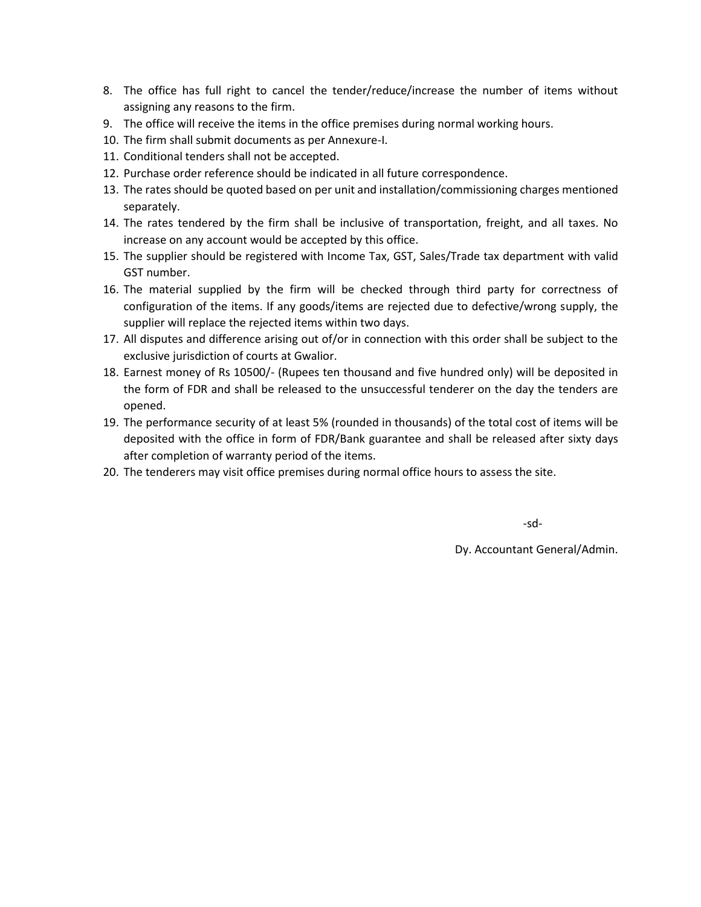- 8. The office has full right to cancel the tender/reduce/increase the number of items without assigning any reasons to the firm.
- 9. The office will receive the items in the office premises during normal working hours.
- 10. The firm shall submit documents as per Annexure-I.
- 11. Conditional tenders shall not be accepted.
- 12. Purchase order reference should be indicated in all future correspondence.
- 13. The rates should be quoted based on per unit and installation/commissioning charges mentioned separately.
- 14. The rates tendered by the firm shall be inclusive of transportation, freight, and all taxes. No increase on any account would be accepted by this office.
- 15. The supplier should be registered with Income Tax, GST, Sales/Trade tax department with valid GST number.
- 16. The material supplied by the firm will be checked through third party for correctness of configuration of the items. If any goods/items are rejected due to defective/wrong supply, the supplier will replace the rejected items within two days.
- 17. All disputes and difference arising out of/or in connection with this order shall be subject to the exclusive jurisdiction of courts at Gwalior.
- 18. Earnest money of Rs 10500/- (Rupees ten thousand and five hundred only) will be deposited in the form of FDR and shall be released to the unsuccessful tenderer on the day the tenders are opened.
- 19. The performance security of at least 5% (rounded in thousands) of the total cost of items will be deposited with the office in form of FDR/Bank guarantee and shall be released after sixty days after completion of warranty period of the items.
- 20. The tenderers may visit office premises during normal office hours to assess the site.

-sd-

Dy. Accountant General/Admin.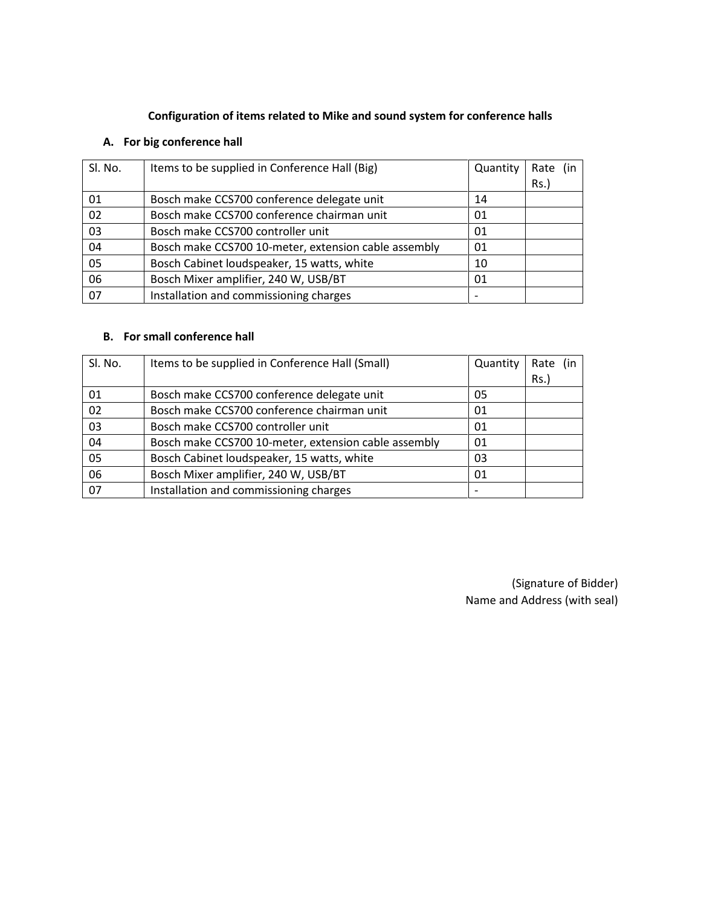## **Configuration of items related to Mike and sound system for conference halls**

## **A. For big conference hall**

| Sl. No. | Items to be supplied in Conference Hall (Big)        | Quantity | Rate<br>Rs. |
|---------|------------------------------------------------------|----------|-------------|
| 01      | Bosch make CCS700 conference delegate unit           | 14       |             |
| 02      | Bosch make CCS700 conference chairman unit           | 01       |             |
| 03      | Bosch make CCS700 controller unit                    | 01       |             |
| 04      | Bosch make CCS700 10-meter, extension cable assembly | 01       |             |
| 05      | Bosch Cabinet loudspeaker, 15 watts, white           | 10       |             |
| 06      | Bosch Mixer amplifier, 240 W, USB/BT                 | 01       |             |
| 07      | Installation and commissioning charges               |          |             |

#### **B. For small conference hall**

| Sl. No. | Items to be supplied in Conference Hall (Small)      | Quantity | Rate (in |
|---------|------------------------------------------------------|----------|----------|
|         |                                                      |          | Rs.)     |
| 01      | Bosch make CCS700 conference delegate unit           | 05       |          |
| 02      | Bosch make CCS700 conference chairman unit           | 01       |          |
| 03      | Bosch make CCS700 controller unit                    | 01       |          |
| 04      | Bosch make CCS700 10-meter, extension cable assembly | 01       |          |
| 05      | Bosch Cabinet loudspeaker, 15 watts, white           | 03       |          |
| 06      | Bosch Mixer amplifier, 240 W, USB/BT                 | 01       |          |
| 07      | Installation and commissioning charges               |          |          |

(Signature of Bidder) Name and Address (with seal)